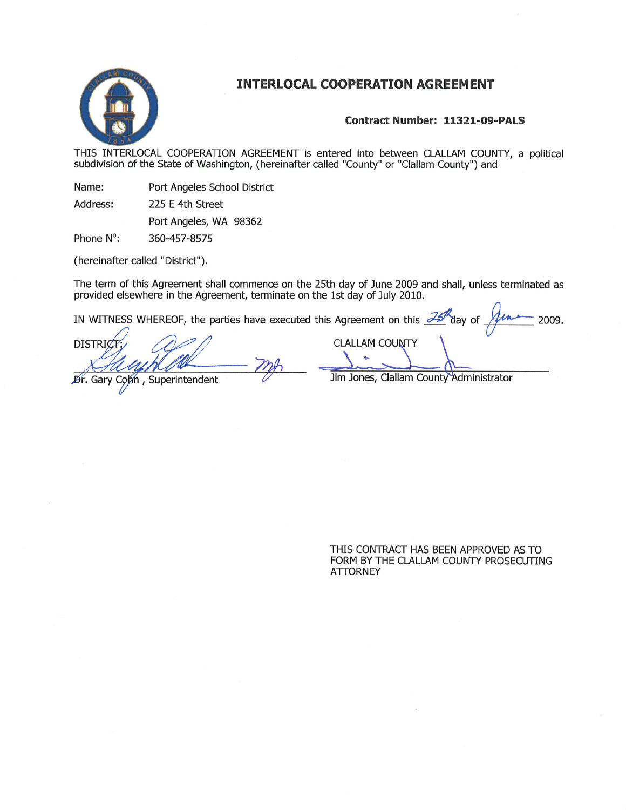

## INTERLOCAL COOPERATION AGREEMENT

## Contract Number: 11321-09-PALS

THIS INTERLOCAL COOPERATION AGREEMENT is entered into between CLALLAM COUNTY, a political subdivision of the State of Washington, (hereinafter called "County" or "Clallam County") and

Port Angeles School District Name:

225 E 4th Street Address:

Port Angeles, WA 98362

Phone  $N^2$ : 360-457-8575

(hereinafter called "District").

The term of this Agreement shall commence on the 25th day of June 2009 and shall, unless terminated as provided elsewhere in the Agreement, terminate on the 1st day of July 2010.

IN WITNESS WHEREOF, the parties have executed this Agreement on this  $\frac{25}{1}$  day of

**DISTRIC** 

Dr. Gary Cohn, Superintendent

 $y \text{ of } \frac{\int \ln x}{\ln x}$  2009. **CLALLAM COUNTY** 

Jim Jones, Clallam County Administrator

THIS CONTRACT HAS BEEN APPROVED AS TO FORM BY THE CLALLAM COUNTY PROSECUTING **ATTORNEY**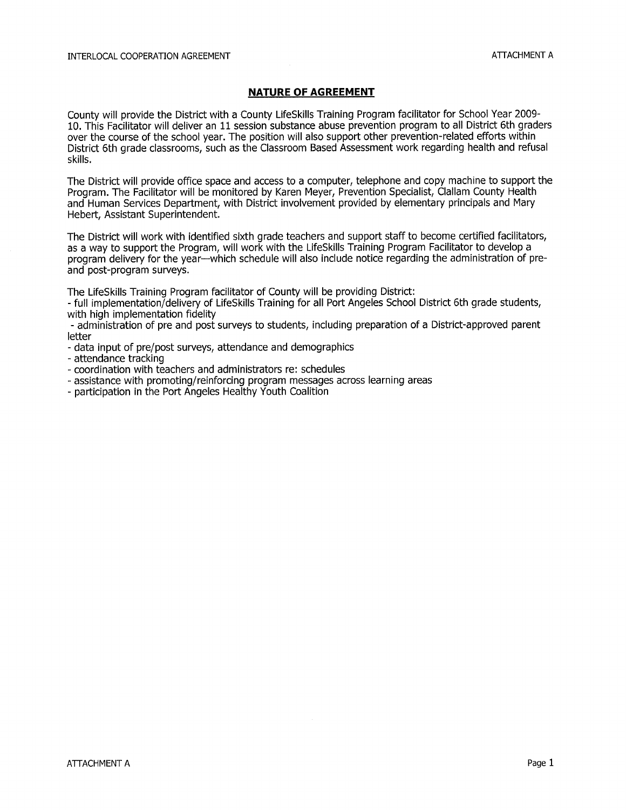## NATURE OF AGREEMENT

County will provide the District with a County LifeSkills Training Program facilitator for School Year 2009- 10, This Facilitator will deliver an 11 session substance abuse prevention program to all District 6th graders over the course of the school year. The position will also support other prevention-related efforts within District 6th grade classrooms, such as the Classroom Based Assessment work regarding health and refusal skills.

The District will provide office space and access to a computer, telephone and copy machine to support the Program. The Facilitator will be monitored by Karen Meyer, Prevention Specialist, Clallam County Health and Human Seruices Department, with District involvement provided by elementary principals and Mary Hebert, Assistant Superintendent.

The District will work with identified sixth grade teachers and support staff to become ceftified facilitators, as a way to support the Program, will work with the LifeSkills Training Program Facilitator to develop a program delivery for the year-which schedule will also include notice regarding the administration of preand post-program surveys.

The LifeSkílls Trainíng Program facilitator of County will be providing District:

- full implementation/delivery of LifeSkills Training for all Port Angeles School District 6th grade students, with high implementatíon fidelity

- administration of pre and post surueys to students, including preparation of a District-approved parent letter

- data input of pre/post surveys, attendance and demographics
- attendance tracking
- coordinatíon with teachers and administrators re: schedules
- assistance with promoting/reinforcing program messages across learning areas
- participation in the Port Angeles Healthy Youth Coalition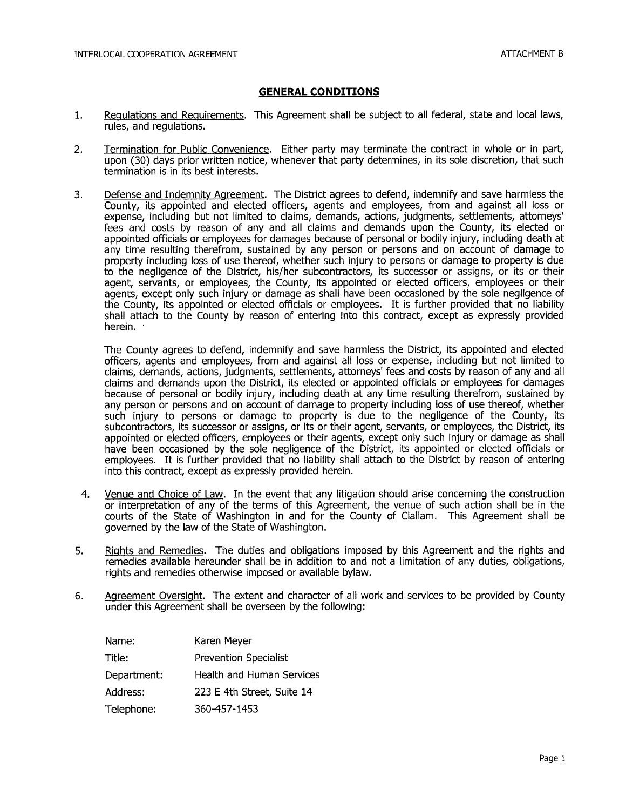## GENERAL CONDITIONS

- Regulations and Requirements. This Agreement shall be subject to all federal, state and local laws,  $1.$ rules, and regulations.
- 2. Termination for Public Convenience. Either party may terminate the contract in whole or in part, upon (30) days prior written notice, whenever that party determines, in its sole discretion, that such termination is in its best interests,
- 3. Defense and Indemnity Agreement. The District agrees to defend, indemnify and save harmless the County, its appointed and elected officers, agents and employees, from and against all loss or expense, including but not limited to claims, demands, actions, judgments, settlements, attorneys' fees and costs by reason of any and all claims and demands upon the County, its elected or appointed officials or employees for damages because of personal or bodily injury, including death at any time resulting therefrom, sustained by any person or persons and on account of damage to property including loss of use thereof, whether such injury to persons or damage to property is due to the negligence of the District, his/her subcontractors, its successor or assigns, or its or their agent, seruants, or employees, the County, its appointed or elected officers, employees or their agents, except only such injury or damage as shall have been occasioned by the sole negligence of the County, its appointed or elected officials or employees. It is further provided that no liability shall attach to the County by reason of entering into this contract, except as expressly provided herein.

The County agrees to defend, indemnify and save harmless the District, its appointed and elected officers, agents and employees, from and against all loss or expense, including but not limited to claims, demands, actions, judgments, settlements, attorneys' fees and costs by reason of any and all claims and demands upon the District, its elected or appointed officials or employees for damages because of personal or bodily injury, including death at any time resulting therefrom, sustained by any person or persons and on account of damage to property including loss of use thereof, whether such injury to persons or damage to property is due to the negligence of the County, its subcontractors, its successor or assigns, or its or their agent, seruants, or employees, the District, its appointed or elected officers, employees or their agents, except only such injury or damage as shall have been occasioned by the sole negligence of the District, its appointed or elected officials or employees. It is fufther provided that no liability shall attach to the District by reason of entering into this contract, except as expressly provided herein.

- Venue and Choice of Law. In the event that any litigation should arise concerning the construction or interpretation of any of the terms of this Agreement, the venue of such action shall be in the courts of the State of Washington in and for the County of Clallam. This Agreement shall be governed by the law of the State of Washington. 4.
- Rights and Remedies. The duties and obligations imposed by this Agreement and the rights and remedies available hereunder shall be in addition to and not a limitation of any duties, obligations, rights and remedies otherwise imposed or available bylaw. 5.
- 6. Agreement Oversight. The extent and character of all work and services to be provided by County under this Agreement shall be overseen by the following:

| Name:       | Karen Meyer                  |
|-------------|------------------------------|
| Title:      | <b>Prevention Specialist</b> |
| Department: | Health and Human Services    |
| Address:    | 223 E 4th Street, Suite 14   |
| Telephone:  | 360-457-1453                 |